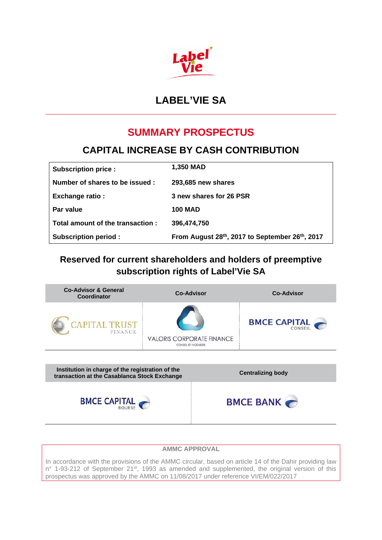

# **LABEL'VIE SA**

# **SUMMARY PROSPECTUS**

# **CAPITAL INCREASE BY CASH CONTRIBUTION**

| <b>Subscription price:</b>       | 1,350 MAD                                      |
|----------------------------------|------------------------------------------------|
| Number of shares to be issued:   | 293,685 new shares                             |
| <b>Exchange ratio:</b>           | 3 new shares for 26 PSR                        |
| Par value                        | <b>100 MAD</b>                                 |
| Total amount of the transaction: | 396,474,750                                    |
| <b>Subscription period:</b>      | From August 28th, 2017 to September 26th, 2017 |

# **Reserved for current shareholders and holders of preemptive subscription rights of Label'Vie SA**



### **AMMC APPROVAL**

In accordance with the provisions of the AMMC circular, based on article 14 of the Dahir providing law n° 1-93-212 of September 21<sup>st</sup>, 1993 as amended and supplemented, the original version of this prospectus was approved by the AMMC on 11/08/2017 under reference VI/EM/022/2017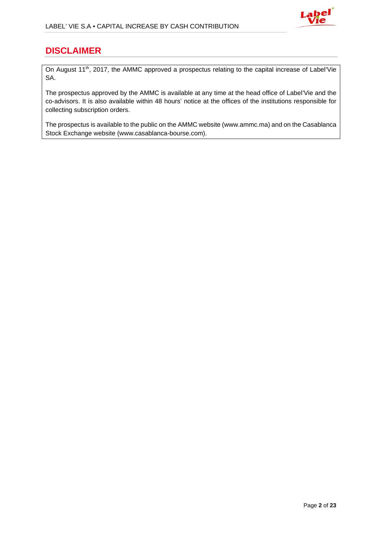

# **DISCLAIMER**

On August 11<sup>th</sup>, 2017, the AMMC approved a prospectus relating to the capital increase of Label'Vie SA.

The prospectus approved by the AMMC is available at any time at the head office of Label'Vie and the co-advisors. It is also available within 48 hours' notice at the offices of the institutions responsible for collecting subscription orders.

The prospectus is available to the public on the AMMC website (www.ammc.ma) and on the Casablanca Stock Exchange website (www.casablanca-bourse.com).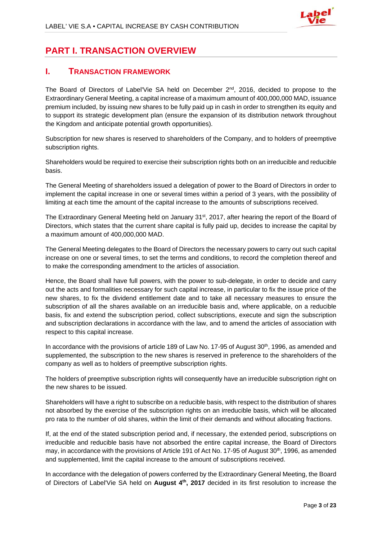

# **PART I. TRANSACTION OVERVIEW**

## **I. TRANSACTION FRAMEWORK**

The Board of Directors of Label'Vie SA held on December  $2^{nd}$ , 2016, decided to propose to the Extraordinary General Meeting, a capital increase of a maximum amount of 400,000,000 MAD, issuance premium included, by issuing new shares to be fully paid up in cash in order to strengthen its equity and to support its strategic development plan (ensure the expansion of its distribution network throughout the Kingdom and anticipate potential growth opportunities).

Subscription for new shares is reserved to shareholders of the Company, and to holders of preemptive subscription rights.

Shareholders would be required to exercise their subscription rights both on an irreducible and reducible basis.

The General Meeting of shareholders issued a delegation of power to the Board of Directors in order to implement the capital increase in one or several times within a period of 3 years, with the possibility of limiting at each time the amount of the capital increase to the amounts of subscriptions received.

The Extraordinary General Meeting held on January 31st, 2017, after hearing the report of the Board of Directors, which states that the current share capital is fully paid up, decides to increase the capital by a maximum amount of 400,000,000 MAD.

The General Meeting delegates to the Board of Directors the necessary powers to carry out such capital increase on one or several times, to set the terms and conditions, to record the completion thereof and to make the corresponding amendment to the articles of association.

Hence, the Board shall have full powers, with the power to sub-delegate, in order to decide and carry out the acts and formalities necessary for such capital increase, in particular to fix the issue price of the new shares, to fix the dividend entitlement date and to take all necessary measures to ensure the subscription of all the shares available on an irreducible basis and, where applicable, on a reducible basis, fix and extend the subscription period, collect subscriptions, execute and sign the subscription and subscription declarations in accordance with the law, and to amend the articles of association with respect to this capital increase.

In accordance with the provisions of article 189 of Law No. 17-95 of August 30<sup>th</sup>, 1996, as amended and supplemented, the subscription to the new shares is reserved in preference to the shareholders of the company as well as to holders of preemptive subscription rights.

The holders of preemptive subscription rights will consequently have an irreducible subscription right on the new shares to be issued.

Shareholders will have a right to subscribe on a reducible basis, with respect to the distribution of shares not absorbed by the exercise of the subscription rights on an irreducible basis, which will be allocated pro rata to the number of old shares, within the limit of their demands and without allocating fractions.

If, at the end of the stated subscription period and, if necessary, the extended period, subscriptions on irreducible and reducible basis have not absorbed the entire capital increase, the Board of Directors may, in accordance with the provisions of Article 191 of Act No. 17-95 of August  $30<sup>th</sup>$ , 1996, as amended and supplemented, limit the capital increase to the amount of subscriptions received.

In accordance with the delegation of powers conferred by the Extraordinary General Meeting, the Board of Directors of Label'Vie SA held on **August 4th, 2017** decided in its first resolution to increase the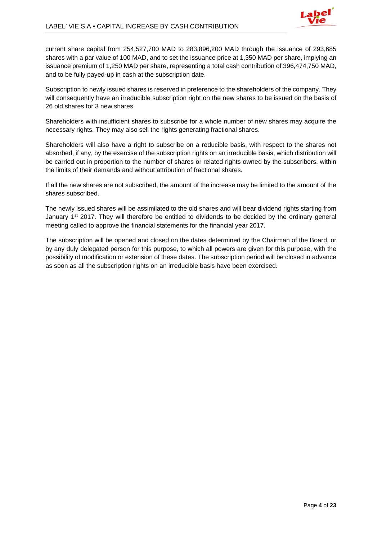

current share capital from 254,527,700 MAD to 283,896,200 MAD through the issuance of 293,685 shares with a par value of 100 MAD, and to set the issuance price at 1,350 MAD per share, implying an issuance premium of 1,250 MAD per share, representing a total cash contribution of 396,474,750 MAD, and to be fully payed-up in cash at the subscription date.

Subscription to newly issued shares is reserved in preference to the shareholders of the company. They will consequently have an irreducible subscription right on the new shares to be issued on the basis of 26 old shares for 3 new shares.

Shareholders with insufficient shares to subscribe for a whole number of new shares may acquire the necessary rights. They may also sell the rights generating fractional shares.

Shareholders will also have a right to subscribe on a reducible basis, with respect to the shares not absorbed, if any, by the exercise of the subscription rights on an irreducible basis, which distribution will be carried out in proportion to the number of shares or related rights owned by the subscribers, within the limits of their demands and without attribution of fractional shares.

If all the new shares are not subscribed, the amount of the increase may be limited to the amount of the shares subscribed.

The newly issued shares will be assimilated to the old shares and will bear dividend rights starting from January  $1<sup>st</sup>$  2017. They will therefore be entitled to dividends to be decided by the ordinary general meeting called to approve the financial statements for the financial year 2017.

The subscription will be opened and closed on the dates determined by the Chairman of the Board, or by any duly delegated person for this purpose, to which all powers are given for this purpose, with the possibility of modification or extension of these dates. The subscription period will be closed in advance as soon as all the subscription rights on an irreducible basis have been exercised.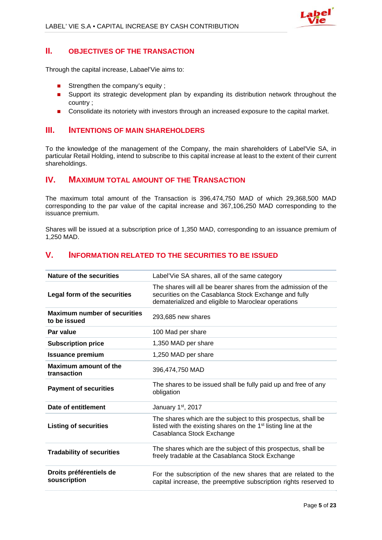

### **II. OBJECTIVES OF THE TRANSACTION**

Through the capital increase, Labael'Vie aims to:

- Strengthen the company's equity ;
- Support its strategic development plan by expanding its distribution network throughout the country ;
- **Consolidate its notoriety with investors through an increased exposure to the capital market.**

## **III. INTENTIONS OF MAIN SHAREHOLDERS**

To the knowledge of the management of the Company, the main shareholders of Label'Vie SA, in particular Retail Holding, intend to subscribe to this capital increase at least to the extent of their current shareholdings.

## **IV. MAXIMUM TOTAL AMOUNT OF THE TRANSACTION**

The maximum total amount of the Transaction is 396,474,750 MAD of which 29,368,500 MAD corresponding to the par value of the capital increase and 367,106,250 MAD corresponding to the issuance premium.

Shares will be issued at a subscription price of 1,350 MAD, corresponding to an issuance premium of 1,250 MAD.

## **V. INFORMATION RELATED TO THE SECURITIES TO BE ISSUED**

| Nature of the securities                            | Label'Vie SA shares, all of the same category                                                                                                                                  |
|-----------------------------------------------------|--------------------------------------------------------------------------------------------------------------------------------------------------------------------------------|
| Legal form of the securities                        | The shares will all be bearer shares from the admission of the<br>securities on the Casablanca Stock Exchange and fully<br>dematerialized and eligible to Maroclear operations |
| <b>Maximum number of securities</b><br>to be issued | 293,685 new shares                                                                                                                                                             |
| Par value                                           | 100 Mad per share                                                                                                                                                              |
| <b>Subscription price</b>                           | 1,350 MAD per share                                                                                                                                                            |
| <b>Issuance premium</b>                             | 1,250 MAD per share                                                                                                                                                            |
| <b>Maximum amount of the</b><br>transaction         | 396,474,750 MAD                                                                                                                                                                |
| <b>Payment of securities</b>                        | The shares to be issued shall be fully paid up and free of any<br>obligation                                                                                                   |
| Date of entitlement                                 | January 1 <sup>st</sup> , 2017                                                                                                                                                 |
| <b>Listing of securities</b>                        | The shares which are the subject to this prospectus, shall be<br>listed with the existing shares on the 1 <sup>st</sup> listing line at the<br>Casablanca Stock Exchange       |
| <b>Tradability of securities</b>                    | The shares which are the subject of this prospectus, shall be<br>freely tradable at the Casablanca Stock Exchange                                                              |
| Droits préférentiels de<br>souscription             | For the subscription of the new shares that are related to the<br>capital increase, the preemptive subscription rights reserved to                                             |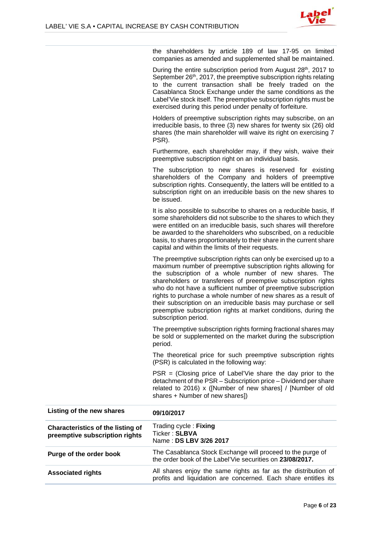

the shareholders by article 189 of law 17-95 on limited companies as amended and supplemented shall be maintained.

During the entire subscription period from August 28<sup>th</sup>, 2017 to September 26<sup>th</sup>, 2017, the preemptive subscription rights relating to the current transaction shall be freely traded on the Casablanca Stock Exchange under the same conditions as the Label'Vie stock itself. The preemptive subscription rights must be exercised during this period under penalty of forfeiture.

Holders of preemptive subscription rights may subscribe, on an irreducible basis, to three (3) new shares for twenty six (26) old shares (the main shareholder will waive its right on exercising 7 PSR).

Furthermore, each shareholder may, if they wish, waive their preemptive subscription right on an individual basis.

The subscription to new shares is reserved for existing shareholders of the Company and holders of preemptive subscription rights. Consequently, the latters will be entitled to a subscription right on an irreducible basis on the new shares to be issued.

It is also possible to subscribe to shares on a reducible basis, If some shareholders did not subscribe to the shares to which they were entitled on an irreducible basis, such shares will therefore be awarded to the shareholders who subscribed, on a reducible basis, to shares proportionately to their share in the current share capital and within the limits of their requests.

The preemptive subscription rights can only be exercised up to a maximum number of preemptive subscription rights allowing for the subscription of a whole number of new shares. The shareholders or transferees of preemptive subscription rights who do not have a sufficient number of preemptive subscription rights to purchase a whole number of new shares as a result of their subscription on an irreducible basis may purchase or sell preemptive subscription rights at market conditions, during the subscription period.

The preemptive subscription rights forming fractional shares may be sold or supplemented on the market during the subscription period.

The theoretical price for such preemptive subscription rights (PSR) is calculated in the following way:

 $PSR = (Closing price of Label'View is a hard to the$ detachment of the PSR – Subscription price – Dividend per share related to 2016) x ([Number of new shares] / [Number of old shares + Number of new shares])

| Listing of the new shares                                           | 09/10/2017                                                                                                                       |
|---------------------------------------------------------------------|----------------------------------------------------------------------------------------------------------------------------------|
| Characteristics of the listing of<br>preemptive subscription rights | Trading cycle: Fixing<br>Ticker: SLBVA<br>Name: DS LBV 3/26 2017                                                                 |
| Purge of the order book                                             | The Casablanca Stock Exchange will proceed to the purge of<br>the order book of the Label'Vie securities on 23/08/2017.          |
| <b>Associated rights</b>                                            | All shares enjoy the same rights as far as the distribution of<br>profits and liquidation are concerned. Each share entitles its |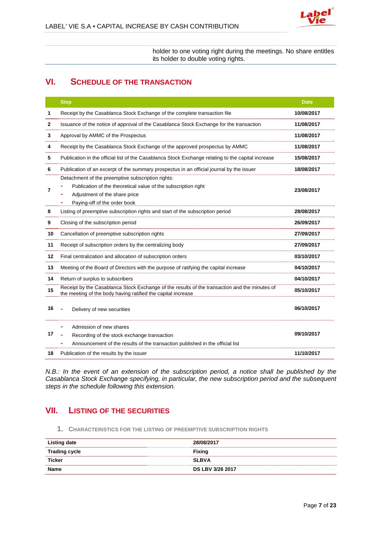holder to one voting right during the meetings. No share entitles its holder to double voting rights.

# **VI. SCHEDULE OF THE TRANSACTION**

|    | <b>Step</b>                                                                                                                                                                          | <b>Date</b> |
|----|--------------------------------------------------------------------------------------------------------------------------------------------------------------------------------------|-------------|
| 1  | Receipt by the Casablanca Stock Exchange of the complete transaction file                                                                                                            | 10/08/2017  |
| 2  | Issuance of the notice of approval of the Casablanca Stock Exchange for the transaction                                                                                              | 11/08/2017  |
| 3  | Approval by AMMC of the Prospectus                                                                                                                                                   | 11/08/2017  |
| 4  | Receipt by the Casablanca Stock Exchange of the approved prospectus by AMMC                                                                                                          | 11/08/2017  |
| 5  | Publication in the official list of the Casablanca Stock Exchange relating to the capital increase                                                                                   | 15/08/2017  |
| 6  | Publication of an excerpt of the summary prospectus in an official journal by the issuer                                                                                             | 18/08/2017  |
| 7  | Detachment of the preemptive subscription rights:<br>Publication of the theoretical value of the subscription right<br>Adjustment of the share price<br>Paying-off of the order book | 23/08/2017  |
| 8  | Listing of preemptive subscription rights and start of the subscription period                                                                                                       | 28/08/2017  |
| 9  | Closing of the subscription period                                                                                                                                                   | 26/09/2017  |
| 10 | Cancellation of preemptive subscription rights                                                                                                                                       | 27/09/2017  |
| 11 | Receipt of subscription orders by the centralizing body                                                                                                                              | 27/09/2017  |
| 12 | Final centralization and allocation of subscription orders                                                                                                                           | 03/10/2017  |
| 13 | Meeting of the Board of Directors with the purpose of ratifying the capital increase                                                                                                 | 04/10/2017  |
| 14 | Return of surplus to subscribers                                                                                                                                                     | 04/10/2017  |
| 15 | Receipt by the Casablanca Stock Exchange of the results of the transaction and the minutes of<br>the meeting of the body having ratified the capital increase                        | 05/10/2017  |
| 16 | Delivery of new securities                                                                                                                                                           | 06/10/2017  |
| 17 | Admission of new shares<br>Recording of the stock exchange transaction<br>Announcement of the results of the transaction published in the official list                              | 09/10/2017  |
| 18 | Publication of the results by the issuer                                                                                                                                             | 11/10/2017  |

*N.B.: In the event of an extension of the subscription period, a notice shall be published by the Casablanca Stock Exchange specifying, in particular, the new subscription period and the subsequent steps in the schedule following this extension.* 

## **VII. LISTING OF THE SECURITIES**

**1. CHARACTERISTICS FOR THE LISTING OF PREEMPTIVE SUBSCRIPTION RIGHTS**

| Listing date         | 28/08/2017              |
|----------------------|-------------------------|
| <b>Trading cycle</b> | <b>Fixing</b>           |
| <b>Ticker</b>        | <b>SLBVA</b>            |
| Name                 | <b>DS LBV 3/26 2017</b> |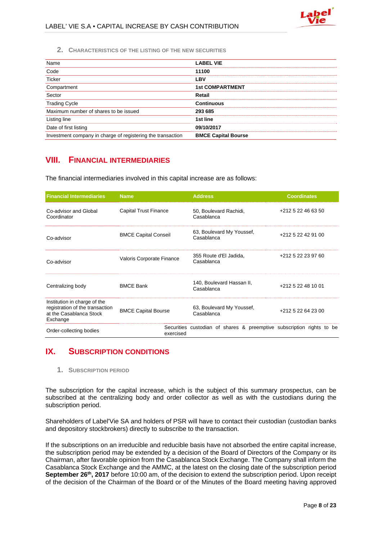

**2. CHARACTERISTICS OF THE LISTING OF THE NEW SECURITIES**

| Name                                                        | <b>LABEL VIE</b>           |
|-------------------------------------------------------------|----------------------------|
| Code                                                        | 11100                      |
| <b>Ticker</b>                                               | <b>LBV</b>                 |
| Compartment                                                 | <b>1st COMPARTMENT</b>     |
| Sector                                                      | Retail                     |
| <b>Trading Cycle</b>                                        | <b>Continuous</b>          |
| Maximum number of shares to be issued                       | 293 685                    |
| Listing line                                                | 1st line                   |
| Date of first listing                                       | 09/10/2017                 |
| Investment company in charge of registering the transaction | <b>BMCE Capital Bourse</b> |

## **VIII. FINANCIAL INTERMEDIARIES**

The financial intermediaries involved in this capital increase are as follows:

| <b>Financial Intermediaries</b>                                                                        | <b>Name</b>                 | <b>Address</b>                                                        | <b>Coordinates</b> |
|--------------------------------------------------------------------------------------------------------|-----------------------------|-----------------------------------------------------------------------|--------------------|
| Co-advisor and Global<br>Coordinator                                                                   | Capital Trust Finance       | 50, Boulevard Rachidi,<br>Casablanca                                  | +212 5 22 46 63 50 |
| Co-advisor                                                                                             | <b>BMCE Capital Conseil</b> | 63, Boulevard My Youssef,<br>Casablanca                               | +212 5 22 42 91 00 |
| Co-advisor                                                                                             | Valoris Corporate Finance   | 355 Route d'El Jadida,<br>Casablanca                                  | +212 5 22 23 97 60 |
| Centralizing body                                                                                      | <b>BMCE Bank</b>            | 140, Boulevard Hassan II,<br>Casablanca                               | +212 5 22 48 10 01 |
| Institution in charge of the<br>registration of the transaction<br>at the Casablanca Stock<br>Exchange | <b>BMCE Capital Bourse</b>  | 63, Boulevard My Youssef,<br>Casablanca                               | +212 5 22 64 23 00 |
| Order-collecting bodies                                                                                | exercised                   | Securities custodian of shares & preemptive subscription rights to be |                    |

## **IX. SUBSCRIPTION CONDITIONS**

**1. SUBSCRIPTION PERIOD**

The subscription for the capital increase, which is the subject of this summary prospectus, can be subscribed at the centralizing body and order collector as well as with the custodians during the subscription period.

Shareholders of Label'Vie SA and holders of PSR will have to contact their custodian (custodian banks and depository stockbrokers) directly to subscribe to the transaction.

If the subscriptions on an irreducible and reducible basis have not absorbed the entire capital increase, the subscription period may be extended by a decision of the Board of Directors of the Company or its Chairman, after favorable opinion from the Casablanca Stock Exchange. The Company shall inform the Casablanca Stock Exchange and the AMMC, at the latest on the closing date of the subscription period **September 26<sup>th</sup>, 2017** before 10:00 am, of the decision to extend the subscription period. Upon receipt of the decision of the Chairman of the Board or of the Minutes of the Board meeting having approved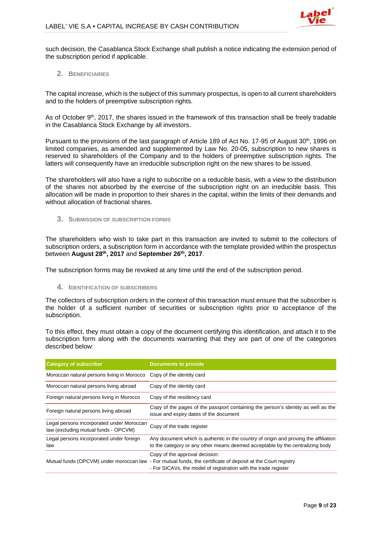

such decision, the Casablanca Stock Exchange shall publish a notice indicating the extension period of the subscription period if applicable.

#### **2. BENEFICIARIES**

The capital increase, which is the subject of this summary prospectus, is open to all current shareholders and to the holders of preemptive subscription rights.

As of October 9<sup>th</sup>, 2017, the shares issued in the framework of this transaction shall be freely tradable in the Casablanca Stock Exchange by all investors.

Pursuant to the provisions of the last paragraph of Article 189 of Act No. 17-95 of August 30<sup>th</sup>, 1996 on limited companies, as amended and supplemented by Law No. 20-05, subscription to new shares is reserved to shareholders of the Company and to the holders of preemptive subscription rights. The latters will consequently have an irreducible subscription right on the new shares to be issued.

The shareholders will also have a right to subscribe on a reducible basis, with a view to the distribution of the shares not absorbed by the exercise of the subscription right on an irreducible basis. This allocation will be made in proportion to their shares in the capital, within the limits of their demands and without allocation of fractional shares.

#### **3. SUBMISSION OF SUBSCRIPTION FORMS**

The shareholders who wish to take part in this transaction are invited to submit to the collectors of subscription orders, a subscription form in accordance with the template provided within the prospectus between **August 28th, 2017** and **September 26th, 2017**.

The subscription forms may be revoked at any time until the end of the subscription period.

#### **4. IDENTIFICATION OF SUBSCRIBERS**

The collectors of subscription orders in the context of this transaction must ensure that the subscriber is the holder of a sufficient number of securities or subscription rights prior to acceptance of the subscription.

To this effect, they must obtain a copy of the document certifying this identification, and attach it to the subscription form along with the documents warranting that they are part of one of the categories described below:

| <b>Category of subscriber</b>                                                     | <b>Documents to provide</b>                                                                                                                                                                                       |
|-----------------------------------------------------------------------------------|-------------------------------------------------------------------------------------------------------------------------------------------------------------------------------------------------------------------|
| Moroccan natural persons living in Morocco                                        | Copy of the identity card                                                                                                                                                                                         |
| Moroccan natural persons living abroad                                            | Copy of the identity card                                                                                                                                                                                         |
| Foreign natural persons living in Morocco                                         | Copy of the residency card                                                                                                                                                                                        |
| Foreign natural persons living abroad                                             | Copy of the pages of the passport containing the person's identity as well as the<br>issue and expiry dates of the document                                                                                       |
| Legal persons incorporated under Moroccan<br>law (excluding mutual funds - OPCVM) | Copy of the trade register                                                                                                                                                                                        |
| Legal persons incorporated under foreign<br>law                                   | Any document which is authentic in the country of origin and proving the affiliation<br>to the category or any other means deemed acceptable by the centralizing body                                             |
|                                                                                   | Copy of the approval decision:<br>Mutual funds (OPCVM) under moroccan law - For mutual funds, the certificate of deposit at the Court registry<br>- For SICAVs, the model of registration with the trade register |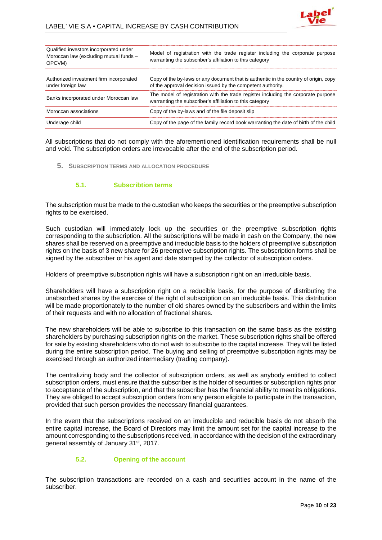

| Qualified investors incorporated under<br>Moroccan law (excluding mutual funds -<br>OPCVM) | Model of registration with the trade register including the corporate purpose<br>warranting the subscriber's affiliation to this category           |
|--------------------------------------------------------------------------------------------|-----------------------------------------------------------------------------------------------------------------------------------------------------|
| Authorized investment firm incorporated<br>under foreign law                               | Copy of the by-laws or any document that is authentic in the country of origin, copy<br>of the approval decision issued by the competent authority. |
| Banks incorporated under Moroccan law                                                      | The model of registration with the trade register including the corporate purpose<br>warranting the subscriber's affiliation to this category       |
| Moroccan associations                                                                      | Copy of the by-laws and of the file deposit slip                                                                                                    |
| Underage child                                                                             | Copy of the page of the family record book warranting the date of birth of the child                                                                |

All subscriptions that do not comply with the aforementioned identification requirements shall be null and void. The subscription orders are irrevocable after the end of the subscription period.

#### **5. SUBSCRIPTION TERMS AND ALLOCATION PROCEDURE**

#### **5.1. Subscribtion terms**

The subscription must be made to the custodian who keeps the securities or the preemptive subscription rights to be exercised.

Such custodian will immediately lock up the securities or the preemptive subscription rights corresponding to the subscription. All the subscriptions will be made in cash on the Company, the new shares shall be reserved on a preemptive and irreducible basis to the holders of preemptive subscription rights on the basis of 3 new share for 26 preemptive subscription rights. The subscription forms shall be signed by the subscriber or his agent and date stamped by the collector of subscription orders.

Holders of preemptive subscription rights will have a subscription right on an irreducible basis.

Shareholders will have a subscription right on a reducible basis, for the purpose of distributing the unabsorbed shares by the exercise of the right of subscription on an irreducible basis. This distribution will be made proportionately to the number of old shares owned by the subscribers and within the limits of their requests and with no allocation of fractional shares.

The new shareholders will be able to subscribe to this transaction on the same basis as the existing shareholders by purchasing subscription rights on the market. These subscription rights shall be offered for sale by existing shareholders who do not wish to subscribe to the capital increase. They will be listed during the entire subscription period. The buying and selling of preemptive subscription rights may be exercised through an authorized intermediary (trading company).

The centralizing body and the collector of subscription orders, as well as anybody entitled to collect subscription orders, must ensure that the subscriber is the holder of securities or subscription rights prior to acceptance of the subscription, and that the subscriber has the financial ability to meet its obligations. They are obliged to accept subscription orders from any person eligible to participate in the transaction, provided that such person provides the necessary financial guarantees.

In the event that the subscriptions received on an irreducible and reducible basis do not absorb the entire capital increase, the Board of Directors may limit the amount set for the capital increase to the amount corresponding to the subscriptions received, in accordance with the decision of the extraordinary general assembly of January 31<sup>st</sup>, 2017.

#### **5.2. Opening of the account**

The subscription transactions are recorded on a cash and securities account in the name of the subscriber.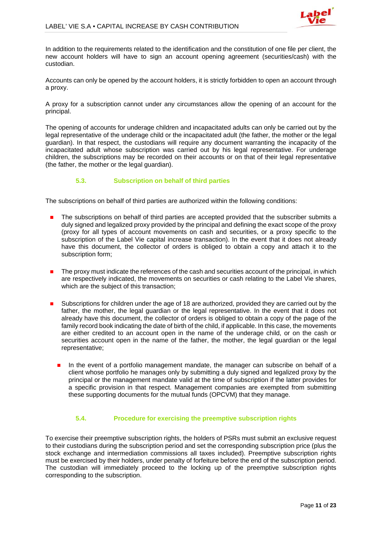

In addition to the requirements related to the identification and the constitution of one file per client, the new account holders will have to sign an account opening agreement (securities/cash) with the custodian.

Accounts can only be opened by the account holders, it is strictly forbidden to open an account through a proxy.

A proxy for a subscription cannot under any circumstances allow the opening of an account for the principal.

The opening of accounts for underage children and incapacitated adults can only be carried out by the legal representative of the underage child or the incapacitated adult (the father, the mother or the legal guardian). In that respect, the custodians will require any document warranting the incapacity of the incapacitated adult whose subscription was carried out by his legal representative. For underage children, the subscriptions may be recorded on their accounts or on that of their legal representative (the father, the mother or the legal guardian).

#### **5.3. Subscription on behalf of third parties**

The subscriptions on behalf of third parties are authorized within the following conditions:

- The subscriptions on behalf of third parties are accepted provided that the subscriber submits a duly signed and legalized proxy provided by the principal and defining the exact scope of the proxy (proxy for all types of account movements on cash and securities, or a proxy specific to the subscription of the Label Vie capital increase transaction). In the event that it does not already have this document, the collector of orders is obliged to obtain a copy and attach it to the subscription form;
- The proxy must indicate the references of the cash and securities account of the principal, in which are respectively indicated, the movements on securities or cash relating to the Label Vie shares, which are the subject of this transaction;
- Subscriptions for children under the age of 18 are authorized, provided they are carried out by the father, the mother, the legal guardian or the legal representative. In the event that it does not already have this document, the collector of orders is obliged to obtain a copy of the page of the family record book indicating the date of birth of the child, if applicable. In this case, the movements are either credited to an account open in the name of the underage child, or on the cash or securities account open in the name of the father, the mother, the legal guardian or the legal representative;
	- In the event of a portfolio management mandate, the manager can subscribe on behalf of a client whose portfolio he manages only by submitting a duly signed and legalized proxy by the principal or the management mandate valid at the time of subscription if the latter provides for a specific provision in that respect. Management companies are exempted from submitting these supporting documents for the mutual funds (OPCVM) that they manage.

#### **5.4. Procedure for exercising the preemptive subscription rights**

To exercise their preemptive subscription rights, the holders of PSRs must submit an exclusive request to their custodians during the subscription period and set the corresponding subscription price (plus the stock exchange and intermediation commissions all taxes included). Preemptive subscription rights must be exercised by their holders, under penalty of forfeiture before the end of the subscription period. The custodian will immediately proceed to the locking up of the preemptive subscription rights corresponding to the subscription.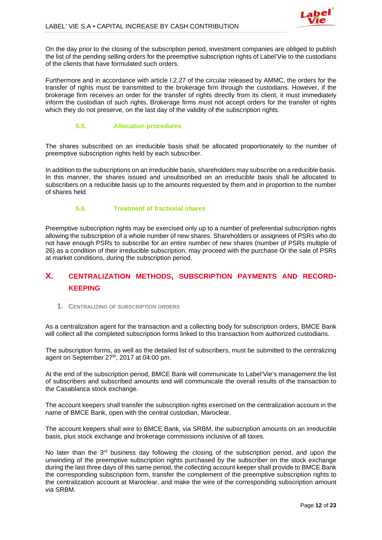

On the day prior to the closing of the subscription period, investment companies are obliged to publish the list of the pending selling orders for the preemptive subscription rights of Label'Vie to the custodians of the clients that have formulated such orders.

Furthermore and in accordance with article I.2.27 of the circular released by AMMC, the orders for the transfer of rights must be transmitted to the brokerage firm through the custodians. However, if the brokerage firm receives an order for the transfer of rights directly from its client, it must immediately inform the custodian of such rights. Brokerage firms must not accept orders for the transfer of rights which they do not preserve, on the last day of the validity of the subscription rights.

#### **5.5. Allocation procedures**

The shares subscribed on an irreducible basis shall be allocated proportionately to the number of preemptive subscription rights held by each subscriber.

In addition to the subscriptions on an irreducible basis, shareholders may subscribe on a reducible basis. In this manner, the shares issued and unsubscribed on an irreducible basis shall be allocated to subscribers on a reducible basis up to the amounts requested by them and in proportion to the number of shares held.

#### **5.6. Treatment of fractional shares**

Preemptive subscription rights may be exercised only up to a number of preferential subscription rights allowing the subscription of a whole number of new shares. Shareholders or assignees of PSRs who do not have enough PSRs to subscribe for an entire number of new shares (number of PSRs multiple of 26) as a condition of their irreducible subscription, may proceed with the purchase Or the sale of PSRs at market conditions, during the subscription period.

# **X. CENTRALIZATION METHODS, SUBSCRIPTION PAYMENTS AND RECORD-KEEPING**

#### **1. CENTRALIZING OF SUBSCRIPTION ORDERS**

As a centralization agent for the transaction and a collecting body for subscription orders, BMCE Bank will collect all the completed subscription forms linked to this transaction from authorized custodians.

The subscription forms, as well as the detailed list of subscribers, must be submitted to the centralizing agent on September 27<sup>th</sup>, 2017 at 04:00 pm.

At the end of the subscription period, BMCE Bank will communicate to Label'Vie's management the list of subscribers and subscribed amounts and will communicate the overall results of the transaction to the Casablanca stock exchange.

The account keepers shall transfer the subscription rights exercised on the centralization account in the name of BMCE Bank, open with the central custodian, Maroclear.

The account keepers shall wire to BMCE Bank, via SRBM, the subscription amounts on an irreducible basis, plus stock exchange and brokerage commissions inclusive of all taxes.

No later than the 3<sup>rd</sup> business day following the closing of the subscription period, and upon the unwinding of the preemptive subscription rights purchased by the subscriber on the stock exchange during the last three days of this same period, the collecting account keeper shall provide to BMCE Bank the corresponding subscription form, transfer the complement of the preemptive subscription rights to the centralization account at Maroclear, and make the wire of the corresponding subscription amount via SRBM.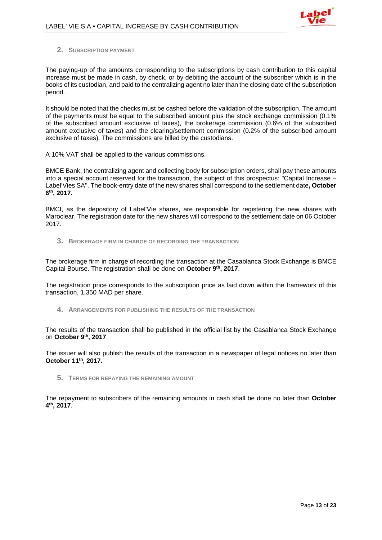

#### **2. SUBSCRIPTION PAYMENT**

The paying-up of the amounts corresponding to the subscriptions by cash contribution to this capital increase must be made in cash, by check, or by debiting the account of the subscriber which is in the books of its custodian, and paid to the centralizing agent no later than the closing date of the subscription period.

It should be noted that the checks must be cashed before the validation of the subscription. The amount of the payments must be equal to the subscribed amount plus the stock exchange commission (0.1% of the subscribed amount exclusive of taxes), the brokerage commission (0.6% of the subscribed amount exclusive of taxes) and the clearing/settlement commission (0.2% of the subscribed amount exclusive of taxes). The commissions are billed by the custodians.

A 10% VAT shall be applied to the various commissions.

BMCE Bank, the centralizing agent and collecting body for subscription orders, shall pay these amounts into a special account reserved for the transaction, the subject of this prospectus: "Capital Increase – Label'Vies SA". The book-entry date of the new shares shall correspond to the settlement date**, October 6th, 2017.** 

BMCI, as the depository of Label'Vie shares, are responsible for registering the new shares with Maroclear. The registration date for the new shares will correspond to the settlement date on 06 October 2017.

**3. BROKERAGE FIRM IN CHARGE OF RECORDING THE TRANSACTION**

The brokerage firm in charge of recording the transaction at the Casablanca Stock Exchange is BMCE Capital Bourse. The registration shall be done on **October 9th, 2017**.

The registration price corresponds to the subscription price as laid down within the framework of this transaction, 1,350 MAD per share.

**4. ARRANGEMENTS FOR PUBLISHING THE RESULTS OF THE TRANSACTION**

The results of the transaction shall be published in the official list by the Casablanca Stock Exchange on **October 9th, 2017**.

The issuer will also publish the results of the transaction in a newspaper of legal notices no later than **October 11th, 2017.**

**5. TERMS FOR REPAYING THE REMAINING AMOUNT**

The repayment to subscribers of the remaining amounts in cash shall be done no later than **October 4th, 2017**.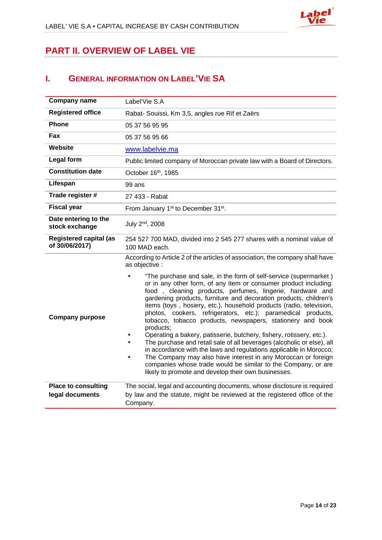

# **PART II. OVERVIEW OF LABEL VIE**

# **I. GENERAL INFORMATION ON LABEL'VIE SA**

| <b>Company name</b>                             | Label'Vie S.A                                                                                                                                                                                                                                                                                                                                                                                                                                                                                                                                                                                                                                                                                                                                                                                                                                                                                                    |  |  |  |
|-------------------------------------------------|------------------------------------------------------------------------------------------------------------------------------------------------------------------------------------------------------------------------------------------------------------------------------------------------------------------------------------------------------------------------------------------------------------------------------------------------------------------------------------------------------------------------------------------------------------------------------------------------------------------------------------------------------------------------------------------------------------------------------------------------------------------------------------------------------------------------------------------------------------------------------------------------------------------|--|--|--|
| <b>Registered office</b>                        | Rabat- Souissi, Km 3,5, angles rue Rif et Zaërs                                                                                                                                                                                                                                                                                                                                                                                                                                                                                                                                                                                                                                                                                                                                                                                                                                                                  |  |  |  |
| <b>Phone</b>                                    | 05 37 56 95 95                                                                                                                                                                                                                                                                                                                                                                                                                                                                                                                                                                                                                                                                                                                                                                                                                                                                                                   |  |  |  |
| Fax                                             | 05 37 56 95 66                                                                                                                                                                                                                                                                                                                                                                                                                                                                                                                                                                                                                                                                                                                                                                                                                                                                                                   |  |  |  |
| Website                                         | www.labelvie.ma                                                                                                                                                                                                                                                                                                                                                                                                                                                                                                                                                                                                                                                                                                                                                                                                                                                                                                  |  |  |  |
| Legal form                                      | Public limited company of Moroccan private law with a Board of Directors.                                                                                                                                                                                                                                                                                                                                                                                                                                                                                                                                                                                                                                                                                                                                                                                                                                        |  |  |  |
| <b>Constitution date</b>                        | October 16th, 1985                                                                                                                                                                                                                                                                                                                                                                                                                                                                                                                                                                                                                                                                                                                                                                                                                                                                                               |  |  |  |
| Lifespan                                        | 99 ans                                                                                                                                                                                                                                                                                                                                                                                                                                                                                                                                                                                                                                                                                                                                                                                                                                                                                                           |  |  |  |
| Trade register #                                | 27 433 - Rabat                                                                                                                                                                                                                                                                                                                                                                                                                                                                                                                                                                                                                                                                                                                                                                                                                                                                                                   |  |  |  |
| <b>Fiscal year</b>                              | From January 1 <sup>st</sup> to December 31 <sup>st</sup> .                                                                                                                                                                                                                                                                                                                                                                                                                                                                                                                                                                                                                                                                                                                                                                                                                                                      |  |  |  |
| Date entering to the<br>stock exchange          | July 2 <sup>nd</sup> , 2008                                                                                                                                                                                                                                                                                                                                                                                                                                                                                                                                                                                                                                                                                                                                                                                                                                                                                      |  |  |  |
| <b>Registered capital (as</b><br>of 30/06/2017) | 254 527 700 MAD, divided into 2 545 277 shares with a nominal value of<br>100 MAD each.                                                                                                                                                                                                                                                                                                                                                                                                                                                                                                                                                                                                                                                                                                                                                                                                                          |  |  |  |
|                                                 | According to Article 2 of the articles of association, the company shall have<br>as objective :                                                                                                                                                                                                                                                                                                                                                                                                                                                                                                                                                                                                                                                                                                                                                                                                                  |  |  |  |
| <b>Company purpose</b>                          | "The purchase and sale, in the form of self-service (supermarket)<br>or in any other form, of any item or consumer product including:<br>food, cleaning products, perfumes, lingerie, hardware and<br>gardening products, furniture and decoration products, children's<br>items (toys, hosiery, etc.), household products (radio, television,<br>photos, cookers, refrigerators, etc.); paramedical products,<br>tobacco, tobacco products, newspapers, stationery and book<br>products;<br>Operating a bakery, patisserie, butchery, fishery, rotissery, etc.).<br>×,<br>The purchase and retail sale of all beverages (alcoholic or else), all<br>in accordance with the laws and regulations applicable in Morocco;<br>The Company may also have interest in any Moroccan or foreign<br>companies whose trade would be similar to the Company, or are<br>likely to promote and develop their own businesses. |  |  |  |
| Place to consulting                             | The social, legal and accounting documents, whose disclosure is required                                                                                                                                                                                                                                                                                                                                                                                                                                                                                                                                                                                                                                                                                                                                                                                                                                         |  |  |  |
| legal documents                                 | by law and the statute, might be reviewed at the registered office of the<br>Company.                                                                                                                                                                                                                                                                                                                                                                                                                                                                                                                                                                                                                                                                                                                                                                                                                            |  |  |  |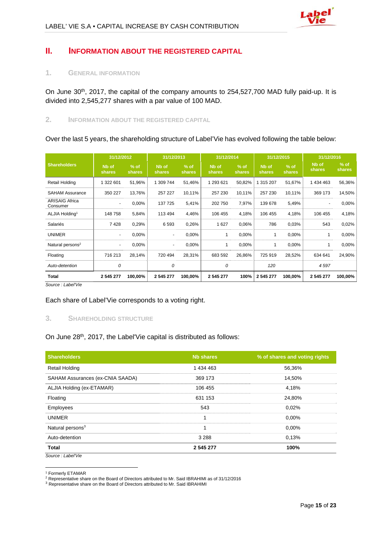# **II. INFORMATION ABOUT THE REGISTERED CAPITAL**

#### **1. GENERAL INFORMATION**

On June 30<sup>th</sup>, 2017, the capital of the company amounts to 254,527,700 MAD fully paid-up. It is divided into 2,545,277 shares with a par value of 100 MAD.

### **2. INFORMATION ABOUT THE REGISTERED CAPITAL**

Over the last 5 years, the shareholding structure of Label'Vie has evolved following the table below:

|                                   | 31/12/2012      |                  | 31/12/2013                  |                  | 31/12/2014             |                  | 31/12/2015      |                  | 31/12/2016                         |                  |
|-----------------------------------|-----------------|------------------|-----------------------------|------------------|------------------------|------------------|-----------------|------------------|------------------------------------|------------------|
| <b>Shareholders</b>               | Nb of<br>shares | $%$ of<br>shares | N <sub>b</sub> of<br>shares | $%$ of<br>shares | Nb of<br><b>shares</b> | $%$ of<br>shares | Nb of<br>shares | $%$ of<br>shares | N <sub>b</sub> of<br><b>shares</b> | $%$ of<br>shares |
| <b>Retail Holding</b>             | 1 322 601       | 51,96%           | 1 309 744                   | 51,46%           | 1 293 621              | 50,82%           | 1 315 207       | 51,67%           | 1 434 463                          | 56,36%           |
| <b>SAHAM Assurance</b>            | 350 227         | 13,76%           | 257 227                     | 10,11%           | 257 230                | 10,11%           | 257 230         | 10,11%           | 369 173                            | 14,50%           |
| <b>ARISAIG Africa</b><br>Consumer |                 | 0,00%            | 137 725                     | 5,41%            | 202 750                | 7,97%            | 139 678         | 5,49%            | ۰                                  | 0,00%            |
| ALJIA Holding <sup>1</sup>        | 148 758         | 5,84%            | 113 494                     | 4,46%            | 106 455                | 4,18%            | 106 455         | 4,18%            | 106 455                            | 4,18%            |
| Salariés                          | 7428            | 0,29%            | 6 5 9 3                     | 0,26%            | 1 627                  | 0,06%            | 786             | 0,03%            | 543                                | 0,02%            |
| <b>UNIMER</b>                     |                 | 0,00%            |                             | 0,00%            |                        | 0,00%            | 1               | 0,00%            | 1                                  | 0,00%            |
| Natural persons <sup>2</sup>      | ٠               | 0,00%            |                             | 0,00%            | 1                      | 0,00%            | 1               | 0,00%            | 1                                  | 0,00%            |
| Floating                          | 716 213         | 28,14%           | 720 494                     | 28,31%           | 683 592                | 26,86%           | 725 919         | 28,52%           | 634 641                            | 24,90%           |
| Auto-detention                    | 0               |                  | 0                           |                  | 0                      |                  | 120             |                  | 4597                               |                  |
| Total                             | 2 545 277       | 100,00%          | 2 545 277                   | 100,00%          | 2 545 277              | 100%             | 2 545 277       | 100,00%          | 2 545 277                          | 100,00%          |

*Source : Label'Vie*

Each share of Label'Vie corresponds to a voting right.

### **3. SHAREHOLDING STRUCTURE**

On June 28<sup>th</sup>, 2017, the Label'Vie capital is distributed as follows:

| <b>Shareholders</b>              | <b>Nb shares</b> | % of shares and voting rights |
|----------------------------------|------------------|-------------------------------|
| Retail Holding                   | 1 434 463        | 56,36%                        |
| SAHAM Assurances (ex-CNIA SAADA) | 369 173          | 14,50%                        |
| ALJIA Holding (ex-ETAMAR)        | 106 455          | 4,18%                         |
| Floating                         | 631 153          | 24,80%                        |
| Employees                        | 543              | 0,02%                         |
| <b>UNIMER</b>                    |                  | 0.00%                         |
| Natural persons <sup>3</sup>     |                  | 0.00%                         |
| Auto-detention                   | 3 2 8 8          | 0.13%                         |
| <b>Total</b>                     | 2 545 277        | 100%                          |
| Source: Label'Vie                |                  |                               |

<sup>&</sup>lt;sup>1</sup> Formerly ETAMAR<br><sup>2</sup> Representative share on the Board of Directors attributed to Mr. Said IBRAHIMI as of 31/12/2016

<sup>&</sup>lt;sup>3</sup> Representative share on the Board of Directors attributed to Mr. Said IBRAHIMI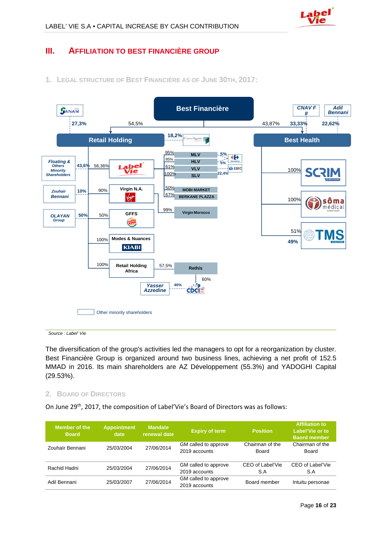# **III. AFFILIATION TO BEST FINANCIÈRE GROUP**

**1. LEGAL STRUCTURE OF BEST FINANCIÈRE AS OF JUNE 30TH, 2017:** 



*Source : Label' Vie*

The diversification of the group's activities led the managers to opt for a reorganization by cluster. Best Financière Group is organized around two business lines, achieving a net profit of 152.5 MMAD in 2016. Its main shareholders are AZ Développement (55.3%) and YADOGHI Capital (29.53%).

#### **2. BOARD OF DIRECTORS**

On June 29<sup>th</sup>, 2017, the composition of Label'Vie's Board of Directors was as follows:

| Member of the<br><b>Board</b> | <b>Appointment</b><br>date | <b>Mandate</b><br>renewal date | <b>Expiry of term</b>                 | <b>Position</b>          | <b>Affiliation to</b><br>Label'Vie or to<br><b>Baord member</b> |  |
|-------------------------------|----------------------------|--------------------------------|---------------------------------------|--------------------------|-----------------------------------------------------------------|--|
| Zouhaïr Bennani               | 25/03/2004                 | 27/06/2014                     | GM called to approve<br>2019 accounts | Chairman of the<br>Board | Chairman of the<br>Board                                        |  |
| Rachid Hadni                  | 25/03/2004                 | 27/06/2014                     | GM called to approve<br>2019 accounts | CEO of Label'Vie<br>S.A  | CEO of Label'Vie<br>S.A                                         |  |
| Adil Bennani                  | 25/03/2007                 | 27/06/2014                     | GM called to approve<br>2019 accounts | Board member             | Intuitu personae                                                |  |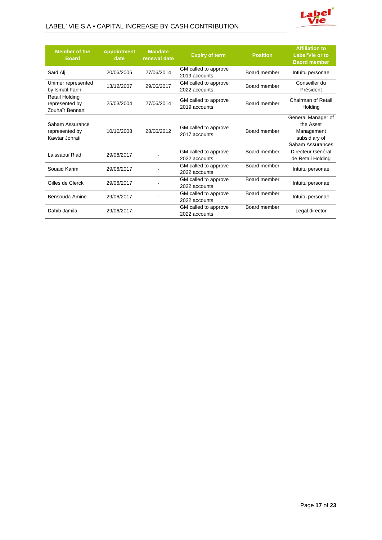### LABEL' VIE S.A • CAPITAL INCREASE BY CASH CONTRIBUTION



| <b>Member of the</b><br><b>Board</b>                       | <b>Appointment</b><br>date | <b>Mandate</b><br>renewal date | <b>Expiry of term</b>                                 | <b>Position</b> | <b>Affiliation to</b><br>Label'Vie or to<br><b>Baord member</b>                    |
|------------------------------------------------------------|----------------------------|--------------------------------|-------------------------------------------------------|-----------------|------------------------------------------------------------------------------------|
| Saïd Ali                                                   | 20/06/2006                 | 27/06/2014                     | GM called to approve<br>2019 accounts                 | Board member    | Intuitu personae                                                                   |
| Unimer represented<br>by Ismaïl Farih                      | 13/12/2007                 | 29/06/2017                     | GM called to approve<br>2022 accounts                 | Board member    | Conseiller du<br>Président                                                         |
| <b>Retail Holding</b><br>represented by<br>Zouhaïr Bennani | 25/03/2004                 | 27/06/2014                     | GM called to approve<br>2019 accounts                 | Board member    | Chairman of Retail<br>Holding                                                      |
| Saham Assurance<br>represented by<br>Kawtar Johrati        | 10/10/2008                 | 28/06/2012                     | GM called to approve<br>2017 accounts                 | Board member    | General Manager of<br>the Asset<br>Management<br>subsidiary of<br>Saham Assurances |
| Laissaoui Riad                                             | 29/06/2017                 |                                | GM called to approve<br>2022 accounts                 | Board member    | Directeur Général<br>de Retail Holding                                             |
| Souaid Karim                                               | 29/06/2017                 |                                | GM called to approve<br>2022 accounts                 | Board member    | Intuitu personae                                                                   |
| Gilles de Clerck                                           | 29/06/2017                 |                                | Board member<br>GM called to approve<br>2022 accounts |                 | Intuitu personae                                                                   |
| Bensouda Amine                                             | 29/06/2017                 |                                | GM called to approve<br>2022 accounts                 | Board member    | Intuitu personae                                                                   |
| Dahib Jamila                                               | 29/06/2017                 |                                | GM called to approve<br>2022 accounts                 | Board member    | Legal director                                                                     |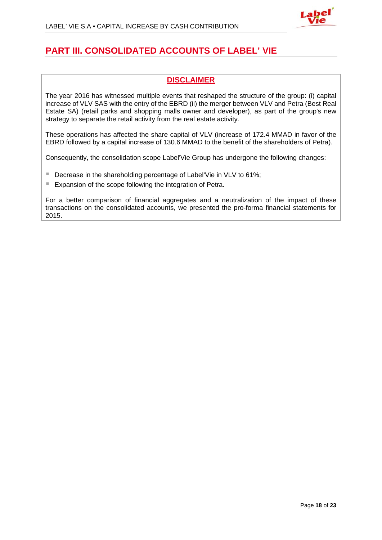

# **PART III. CONSOLIDATED ACCOUNTS OF LABEL' VIE**

## **DISCLAIMER**

The year 2016 has witnessed multiple events that reshaped the structure of the group: (i) capital increase of VLV SAS with the entry of the EBRD (ii) the merger between VLV and Petra (Best Real Estate SA) (retail parks and shopping malls owner and developer), as part of the group's new strategy to separate the retail activity from the real estate activity.

These operations has affected the share capital of VLV (increase of 172.4 MMAD in favor of the EBRD followed by a capital increase of 130.6 MMAD to the benefit of the shareholders of Petra).

Consequently, the consolidation scope Label'Vie Group has undergone the following changes:

- Decrease in the shareholding percentage of Label'Vie in VLV to 61%;
- Expansion of the scope following the integration of Petra.

For a better comparison of financial aggregates and a neutralization of the impact of these transactions on the consolidated accounts, we presented the pro-forma financial statements for 2015.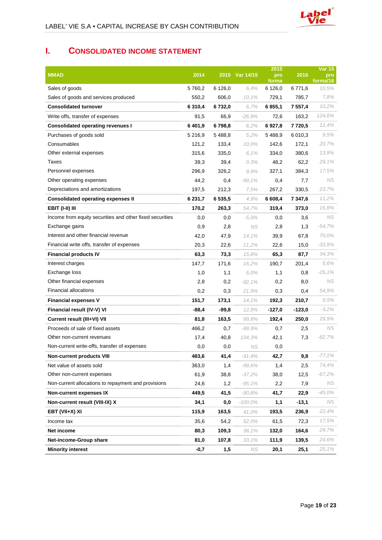# **I. CONSOLIDATED INCOME STATEMENT**

| <b>MMAD</b>                                                         | 2014        |           | 2015 Var 14/15 | 2015<br>pro          | 2016        | <b>Var 15</b><br>pro |
|---------------------------------------------------------------------|-------------|-----------|----------------|----------------------|-------------|----------------------|
| Sales of goods                                                      | 5760,2      | 6 1 2 6 0 | 6.4%           | forma<br>6 1 2 6 , 0 | 6771,6      | forma/16<br>10,5%    |
| Sales of goods and services produced                                | 550,2       | 606,0     | 10,1%          | 729,1                | 785,7       | 7,8%                 |
| <b>Consolidated turnover</b>                                        | 6 3 1 0 , 4 | 6 732,0   | 6.7%           | 6 855,1              | 7 557,4     | 10,2%                |
| Write offs, transfer of expenses                                    | 91,5        | 66,9      | $-26,9%$       | 72,6                 | 163,2       | 124,6%               |
| <b>Consolidated operating revenues I</b>                            | 6401,9      | 6798,8    | 6,2%           | 6927,8               | 7720,5      | 11,4%                |
| Purchases of goods sold                                             | 5 2 1 6 .9  | 5488,8    | 5,2%           | 5488,9               | 6 0 1 0 , 3 | 9,5%                 |
| Consumables                                                         | 121,2       | 133,4     | 10,0%          | 142,6                | 172,1       | 20,7%                |
| Other external expenses                                             | 315,6       | 335,0     | 6.1%           | 334,0                | 380,6       | 13,9%                |
| Taxes                                                               | 39,3        | 39,4      | 0.3%           | 48,2                 | 62,2        | 29,1%                |
| Personnel expenses                                                  | 296,9       | 326,2     | 9.9%           | 327,1                | 384,3       | 17,5%                |
| Other operating expenses                                            | 44,2        | 0,4       | $-99,1%$       | 0,4                  | 7,7         | NS.                  |
| Depreciations and amortizations                                     | 197,5       | 212,3     | 7,5%           | 267,2                | 330,5       | 23,7%                |
|                                                                     | 6 2 3 1 , 7 | 6 535,5   | 4.9%           | 6 608,4              | 7 347,6     | 11,2%                |
| <b>Consolidated operating expenses II</b><br><b>EBIT (I-II) III</b> |             |           |                |                      |             | 16,8%                |
| Income from equity securities and other fixed securities            | 170,2       | 263,3     | 54,7%          | 319,4                | 373,0       | NS.                  |
|                                                                     | 0,0         | 0,0       | $-5.0%$        | $_{0,0}$             | 3,6         |                      |
| Exchange gains<br>Interest and other financial revenue              | 0,9         | 2,8       | NS             | 2,8                  | 1,3         | $-54.7\%$<br>70,0%   |
|                                                                     | 42,0        | 47,9      | 14,1%          | 39,9                 | 67,8        | $-33,9%$             |
| Financial write offs, transfer of expenses                          | 20,3        | 22,6      | 11,2%          | 22,6                 | 15,0        |                      |
| <b>Financial products IV</b>                                        | 63,3        | 73,3      | 15,8%          | 65,3                 | 87,7        | 34,3%                |
| Interest charges                                                    | 147,7       | 171,6     | 16.2%          | 190,7                | 201,4       | 5,6%                 |
| Exchange loss                                                       | 1,0         | 1,1       | 6,0%           | 1,1                  | 0,8         | $-25.1%$             |
| Other financial expenses                                            | 2,8         | 0,2       | $-92,1%$       | 0,2                  | 8,0         | NS.                  |
| <b>Financial allocations</b>                                        | 0,2         | 0,3       | 21,9%          | 0,3                  | 0,4         | 54,9%                |
| <b>Financial expenses V</b>                                         | 151,7       | 173,1     | 14,1%          | 192,3                | 210,7       | 9,5%                 |
| Financial result (IV-V) VI                                          | $-88,4$     | $-99,8$   | 12,9%          | $-127,0$             | $-123,0$    | $-3,2%$              |
| Current result (III+VI) VII                                         | 81,8        | 163,5     | 99,8%          | 192,4                | 250,0       | 29,9%                |
| Proceeds of sale of fixed assets                                    | 466,2       | 0,7       | $-99,9%$       | 0,7                  | 2,5         | NS.                  |
| Other non-current revenues                                          | 17,4        | 40,8      | 134,3%         | 42,1                 | 7,3         | $-82,7%$             |
| Non-current write-offs, transfer of expenses                        | 0,0         | 0,0       | <b>NS</b>      | 0,0                  |             |                      |
| <b>Non-current products VIII</b>                                    | 483,6       | 41,4      | $-91,4%$       | 42,7                 | 9,8         | $-77,1%$             |
| Net value of assets sold                                            | 363,0       | 1,4       | $-99,6%$       | 1,4                  | 2,5         | 74,4%                |
| Other non-current expenses                                          | 61,9        | 38,8      | $-37,2%$       | 38,0                 | 12,5        | -67,2%               |
| Non-current allocations to repayment and provisions                 | 24,6        | 1,2       | -95,1%         | 2,2                  | 7,9         | NS.                  |
| Non-current expenses IX                                             | 449,5       | 41,5      | -90,8%         | 41,7                 | 22,9        | -45,0%               |
| Non-current result (VIII-IX) X                                      | 34,1        | 0,0       | -100,0%        | 1,1                  | $-13,1$     | NS.                  |
| EBT (VII+X) XI                                                      | 115,9       | 163,5     | 41,0%          | 193,5                | 236,9       | 22,4%                |
| Income tax                                                          | 35,6        | 54,2      | 52,0%          | 61,5                 | 72,3        | 17,5%                |
| Net income                                                          | 80,3        | 109,3     | 36,1%          | 132,0                | 164,6       | 24,7%                |
| Net-income-Group share                                              | 81,0        | 107,8     | 33,1%          | 111,9                | 139,5       | 24,6%                |
| <b>Minority interest</b>                                            | $-0,7$      | 1,5       | NS             | 20,1                 | 25,1        | 25,1%                |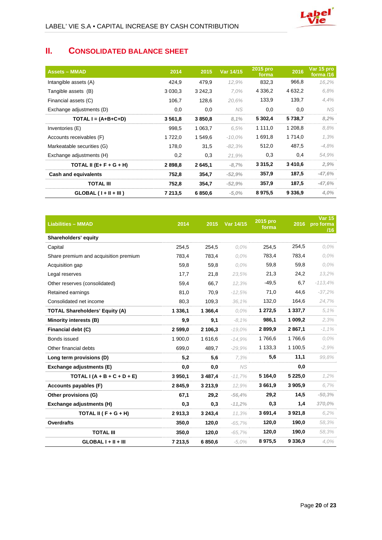

# **II. CONSOLIDATED BALANCE SHEET**

| <b>Assets - MMAD</b>        | 2014        | 2015        | Var 14/15 | 2015 pro<br>forma | 2016        | Var 15 pro<br>forma /16 |
|-----------------------------|-------------|-------------|-----------|-------------------|-------------|-------------------------|
| Intangible assets (A)       | 424,9       | 479,9       | 12.9%     | 832,3             | 966,8       | 16,2%                   |
| Tangible assets (B)         | 3 0 3 0 , 3 | 3 2 4 2 , 3 | 7.0%      | 4 3 3 6 , 2       | 4 632,2     | 6.8%                    |
| Financial assets (C)        | 106,7       | 128,6       | 20.6%     | 133,9             | 139,7       | 4,4%                    |
| Exchange adjustments (D)    | 0,0         | 0,0         | <b>NS</b> | 0,0               | 0,0         | NS.                     |
| TOTAL $I = (A+B+C+D)$       | 3 5 6 1 , 8 | 3850,8      | 8,1%      | 5 302,4           | 5738,7      | 8,2%                    |
| Inventories (E)             | 998,5       | 1 063,7     | 6.5%      | 1 111,0           | 1 208,8     | 8,8%                    |
| Accounts receivables (F)    | 1722,0      | 1 549,6     | $-10.0\%$ | 1 691,8           | 1 7 1 4 , 0 | 1,3%                    |
| Markeatable securities (G)  | 178,0       | 31,5        | $-82.3%$  | 512,0             | 487,5       | $-4,8%$                 |
| Exchange adjustments (H)    | 0,2         | 0,3         | 21.9%     | 0,3               | 0,4         | 54,9%                   |
| TOTAL II $(E + F + G + H)$  | 2898,8      | 2 645,1     | $-8,7%$   | 3 3 1 5 , 2       | 3 4 1 0 , 6 | 2,9%                    |
| <b>Cash and equivalents</b> | 752,8       | 354,7       | $-52.9%$  | 357,9             | 187,5       | $-47,6%$                |
| <b>TOTAL III</b>            | 752,8       | 354,7       | $-52,9%$  | 357,9             | 187,5       | $-47,6%$                |
| $GLOBAL (I + II + III)$     | 7 213,5     | 6850,6      | $-5,0\%$  | 8975,5            | 9 3 3 6 , 9 | 4,0%                    |

| <b>Liabilities - MMAD</b>             | 2014      | 2015        | Var 14/15 | 2015 pro<br>forma | 2016        | <b>Var 15</b><br>pro forma<br>/16 |
|---------------------------------------|-----------|-------------|-----------|-------------------|-------------|-----------------------------------|
| Shareholders' equity                  |           |             |           |                   |             |                                   |
| Capital                               | 254,5     | 254,5       | $0.0\%$   | 254,5             | 254,5       | $0,0\%$                           |
| Share premium and acquisition premium | 783.4     | 783.4       | $0.0\%$   | 783,4             | 783,4       | $0,0\%$                           |
| Acquisition gap                       | 59,8      | 59,8        | $0.0\%$   | 59,8              | 59,8        | $0.0\%$                           |
| Legal reserves                        | 17,7      | 21,8        | 23,5%     | 21,3              | 24,2        | 13,2%                             |
| Other reserves (consolidated)         | 59,4      | 66,7        | 12,3%     | $-49.5$           | 6,7         | $-113.4%$                         |
| Retained earnings                     | 81,0      | 70,9        | $-12.5%$  | 71,0              | 44,6        | $-37,2%$                          |
| Consolidated net income               | 80,3      | 109,3       | 36,1%     | 132,0             | 164,6       | 24,7%                             |
| <b>TOTAL Shareholders' Equity (A)</b> | 1 3 3 6 1 | 1 366,4     | $0.0\%$   | 1 272,5           | 1 3 3 7 , 7 | 5,1%                              |
| Minority interests (B)                | 9,9       | 9,1         | $-8,1%$   | 986,1             | 1 009,2     | 2,3%                              |
| Financial debt (C)                    | 2 599,0   | 2 106,3     | $-19.0\%$ | 2899,9            | 2 867,1     | $-1.1\%$                          |
| Bonds issued                          | 1 900,0   | 1 616,6     | $-14.9%$  | 1766,6            | 1766,6      | $0.0\%$                           |
| Other financial debts                 | 699,0     | 489,7       | $-29.9%$  | 1 1 3 3 , 3       | 1 100,5     | $-2.9%$                           |
| Long term provisions (D)              | 5,2       | 5,6         | 7,3%      | 5,6               | 11,1        | 99.8%                             |
| Exchange adjustments (E)              | 0,0       | 0,0         | <b>NS</b> |                   | 0,0         |                                   |
| TOTAL $I(A + B + C + D + E)$          | 3 950,1   | 3 4 8 7 , 4 | $-11,7%$  | 5 1 64,0          | 5 2 2 5 , 0 | 1,2%                              |
| Accounts payables (F)                 | 2 845,9   | 3 213,9     | 12,9%     | 3 661,9           | 3 905,9     | 6,7%                              |
| Other provisions (G)                  | 67,1      | 29,2        | $-56,4%$  | 29,2              | 14,5        | $-50.3%$                          |
| Exchange adjustments (H)              | 0,3       | 0,3         | $-11,2%$  | 0,3               | 1,4         | 370,0%                            |
| TOTAL II ( $F + G + H$ )              | 2913,3    | 3 243,4     | 11.3%     | 3 691,4           | 3 9 21,8    | 6.2%                              |
| <b>Overdrafts</b>                     | 350,0     | 120,0       | $-65,7%$  | 120,0             | 190,0       | 58,3%                             |
| <b>TOTAL III</b>                      | 350,0     | 120,0       | $-65,7%$  | 120,0             | 190,0       | 58,3%                             |
| $GLOBALI + II + III$                  | 7 213,5   | 6850,6      | $-5.0%$   | 8975,5            | 9 3 3 6 , 9 | 4,0%                              |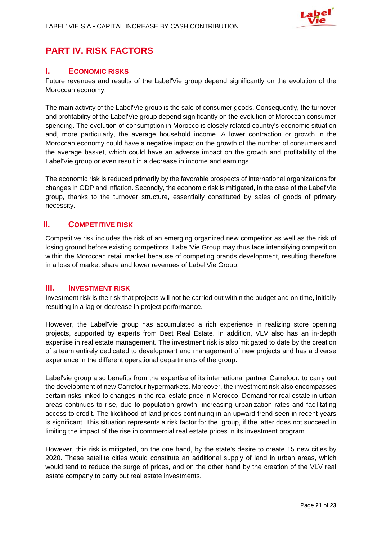

# **PART IV. RISK FACTORS**

## **I. ECONOMIC RISKS**

Future revenues and results of the Label'Vie group depend significantly on the evolution of the Moroccan economy.

The main activity of the Label'Vie group is the sale of consumer goods. Consequently, the turnover and profitability of the Label'Vie group depend significantly on the evolution of Moroccan consumer spending. The evolution of consumption in Morocco is closely related country's economic situation and, more particularly, the average household income. A lower contraction or growth in the Moroccan economy could have a negative impact on the growth of the number of consumers and the average basket, which could have an adverse impact on the growth and profitability of the Label'Vie group or even result in a decrease in income and earnings.

The economic risk is reduced primarily by the favorable prospects of international organizations for changes in GDP and inflation. Secondly, the economic risk is mitigated, in the case of the Label'Vie group, thanks to the turnover structure, essentially constituted by sales of goods of primary necessity.

## **II. COMPETITIVE RISK**

Competitive risk includes the risk of an emerging organized new competitor as well as the risk of losing ground before existing competitors. Label'Vie Group may thus face intensifying competition within the Moroccan retail market because of competing brands development, resulting therefore in a loss of market share and lower revenues of Label'Vie Group.

### **III. INVESTMENT RISK**

Investment risk is the risk that projects will not be carried out within the budget and on time, initially resulting in a lag or decrease in project performance.

However, the Label'Vie group has accumulated a rich experience in realizing store opening projects, supported by experts from Best Real Estate. In addition, VLV also has an in-depth expertise in real estate management. The investment risk is also mitigated to date by the creation of a team entirely dedicated to development and management of new projects and has a diverse experience in the different operational departments of the group.

Label'vie group also benefits from the expertise of its international partner Carrefour, to carry out the development of new Carrefour hypermarkets. Moreover, the investment risk also encompasses certain risks linked to changes in the real estate price in Morocco. Demand for real estate in urban areas continues to rise, due to population growth, increasing urbanization rates and facilitating access to credit. The likelihood of land prices continuing in an upward trend seen in recent years is significant. This situation represents a risk factor for the group, if the latter does not succeed in limiting the impact of the rise in commercial real estate prices in its investment program.

However, this risk is mitigated, on the one hand, by the state's desire to create 15 new cities by 2020. These satellite cities would constitute an additional supply of land in urban areas, which would tend to reduce the surge of prices, and on the other hand by the creation of the VLV real estate company to carry out real estate investments.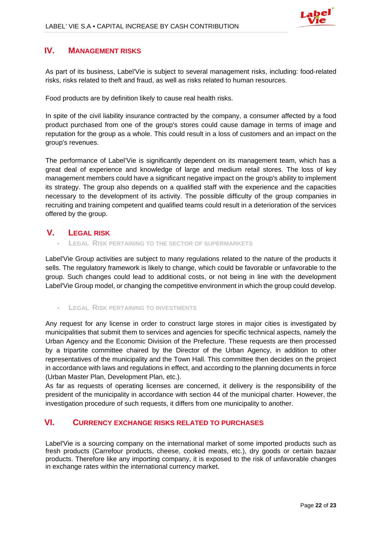

# **IV. MANAGEMENT RISKS**

As part of its business, Label'Vie is subject to several management risks, including: food-related risks, risks related to theft and fraud, as well as risks related to human resources.

Food products are by definition likely to cause real health risks.

In spite of the civil liability insurance contracted by the company, a consumer affected by a food product purchased from one of the group's stores could cause damage in terms of image and reputation for the group as a whole. This could result in a loss of customers and an impact on the group's revenues.

The performance of Label'Vie is significantly dependent on its management team, which has a great deal of experience and knowledge of large and medium retail stores. The loss of key management members could have a significant negative impact on the group's ability to implement its strategy. The group also depends on a qualified staff with the experience and the capacities necessary to the development of its activity. The possible difficulty of the group companies in recruiting and training competent and qualified teams could result in a deterioration of the services offered by the group.

## **V. LEGAL RISK**

**LEGAL RISK PERTAINING TO THE SECTOR OF SUPERMARKETS**

Label'Vie Group activities are subject to many regulations related to the nature of the products it sells. The regulatory framework is likely to change, which could be favorable or unfavorable to the group. Such changes could lead to additional costs, or not being in line with the development Label'Vie Group model, or changing the competitive environment in which the group could develop.

**LEGAL RISK PERTAINING TO INVESTMENTS**

Any request for any license in order to construct large stores in major cities is investigated by municipalities that submit them to services and agencies for specific technical aspects, namely the Urban Agency and the Economic Division of the Prefecture. These requests are then processed by a tripartite committee chaired by the Director of the Urban Agency, in addition to other representatives of the municipality and the Town Hall. This committee then decides on the project in accordance with laws and regulations in effect, and according to the planning documents in force (Urban Master Plan, Development Plan, etc.).

As far as requests of operating licenses are concerned, it delivery is the responsibility of the president of the municipality in accordance with section 44 of the municipal charter. However, the investigation procedure of such requests, it differs from one municipality to another.

## **VI. CURRENCY EXCHANGE RISKS RELATED TO PURCHASES**

Label'Vie is a sourcing company on the international market of some imported products such as fresh products (Carrefour products, cheese, cooked meats, etc.), dry goods or certain bazaar products. Therefore like any importing company, it is exposed to the risk of unfavorable changes in exchange rates within the international currency market.